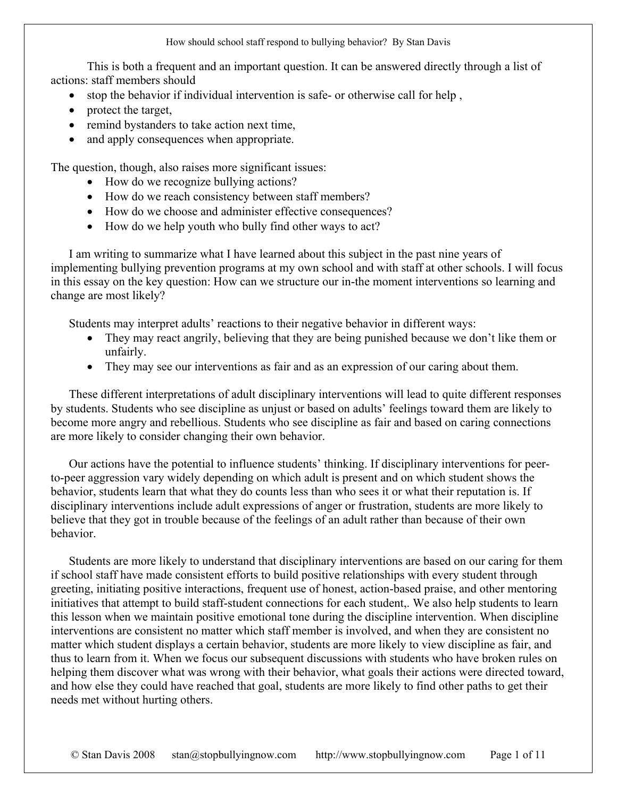This is both a frequent and an important question. It can be answered directly through a list of actions: staff members should

- stop the behavior if individual intervention is safe- or otherwise call for help ,
- protect the target,
- remind by standers to take action next time,
- and apply consequences when appropriate.

The question, though, also raises more significant issues:

- How do we recognize bullying actions?
- How do we reach consistency between staff members?
- How do we choose and administer effective consequences?
- How do we help youth who bully find other ways to act?

I am writing to summarize what I have learned about this subject in the past nine years of implementing bullying prevention programs at my own school and with staff at other schools. I will focus in this essay on the key question: How can we structure our in-the moment interventions so learning and change are most likely?

Students may interpret adults' reactions to their negative behavior in different ways:

- They may react angrily, believing that they are being punished because we don't like them or unfairly.
- They may see our interventions as fair and as an expression of our caring about them.

These different interpretations of adult disciplinary interventions will lead to quite different responses by students. Students who see discipline as unjust or based on adults' feelings toward them are likely to become more angry and rebellious. Students who see discipline as fair and based on caring connections are more likely to consider changing their own behavior.

Our actions have the potential to influence students' thinking. If disciplinary interventions for peerto-peer aggression vary widely depending on which adult is present and on which student shows the behavior, students learn that what they do counts less than who sees it or what their reputation is. If disciplinary interventions include adult expressions of anger or frustration, students are more likely to believe that they got in trouble because of the feelings of an adult rather than because of their own behavior.

Students are more likely to understand that disciplinary interventions are based on our caring for them if school staff have made consistent efforts to build positive relationships with every student through greeting, initiating positive interactions, frequent use of honest, action-based praise, and other mentoring initiatives that attempt to build staff-student connections for each student,. We also help students to learn this lesson when we maintain positive emotional tone during the discipline intervention. When discipline interventions are consistent no matter which staff member is involved, and when they are consistent no matter which student displays a certain behavior, students are more likely to view discipline as fair, and thus to learn from it. When we focus our subsequent discussions with students who have broken rules on helping them discover what was wrong with their behavior, what goals their actions were directed toward, and how else they could have reached that goal, students are more likely to find other paths to get their needs met without hurting others.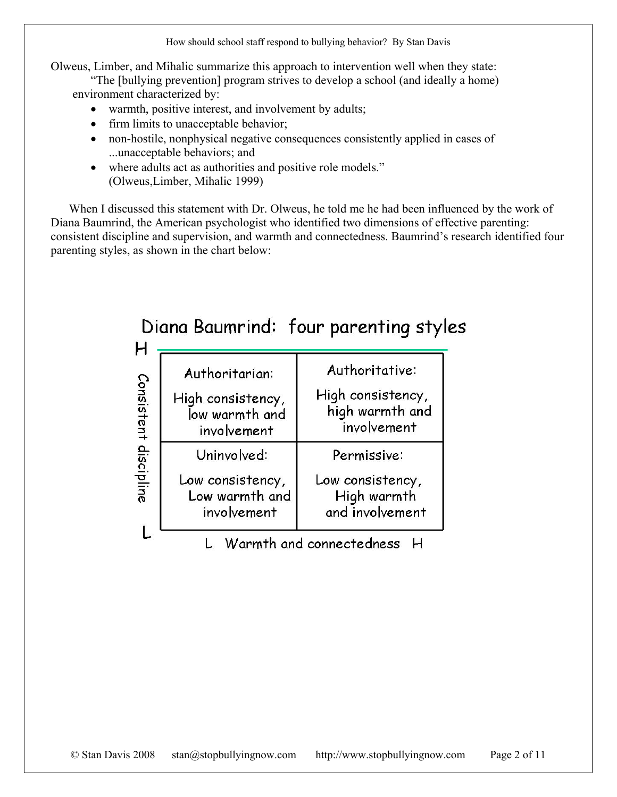Olweus, Limber, and Mihalic summarize this approach to intervention well when they state:

"The [bullying prevention] program strives to develop a school (and ideally a home) environment characterized by:

- warmth, positive interest, and involvement by adults;
- firm limits to unacceptable behavior;
- non-hostile, nonphysical negative consequences consistently applied in cases of ...unacceptable behaviors; and
- where adults act as authorities and positive role models." (Olweus,Limber, Mihalic 1999)

When I discussed this statement with Dr. Olweus, he told me he had been influenced by the work of Diana Baumrind, the American psychologist who identified two dimensions of effective parenting: consistent discipline and supervision, and warmth and connectedness. Baumrind's research identified four parenting styles, as shown in the chart below:

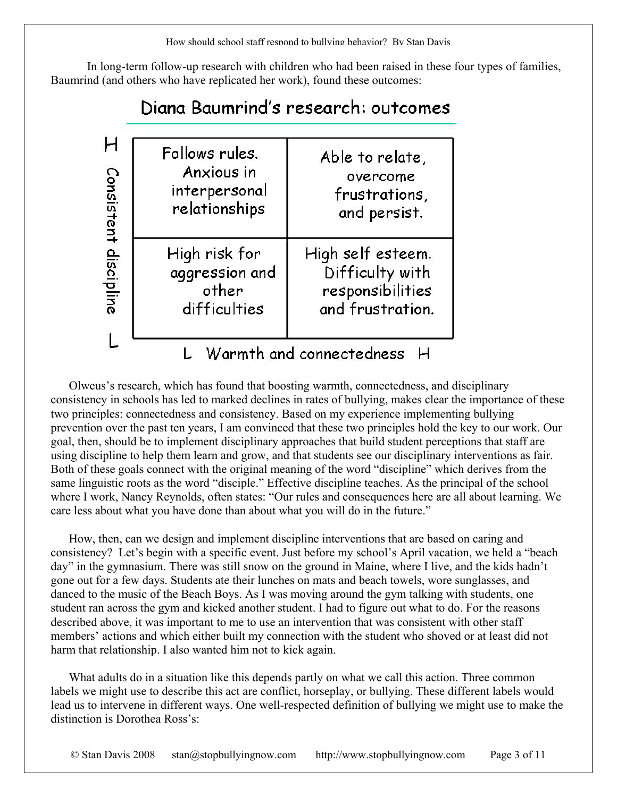In long-term follow-up research with children who had been raised in these four types of families, Baumrind (and others who have replicated her work), found these outcomes:



## Diana Baumrind's research: outcomes

Olweus's research, which has found that boosting warmth, connectedness, and disciplinary consistency in schools has led to marked declines in rates of bullying, makes clear the importance of these two principles: connectedness and consistency. Based on my experience implementing bullying prevention over the past ten years, I am convinced that these two principles hold the key to our work. Our goal, then, should be to implement disciplinary approaches that build student perceptions that staff are using discipline to help them learn and grow, and that students see our disciplinary interventions as fair. Both of these goals connect with the original meaning of the word "discipline" which derives from the same linguistic roots as the word "disciple." Effective discipline teaches. As the principal of the school where I work, Nancy Reynolds, often states: "Our rules and consequences here are all about learning. We care less about what you have done than about what you will do in the future."

How, then, can we design and implement discipline interventions that are based on caring and consistency? Let's begin with a specific event. Just before my school's April vacation, we held a "beach day" in the gymnasium. There was still snow on the ground in Maine, where I live, and the kids hadn't gone out for a few days. Students ate their lunches on mats and beach towels, wore sunglasses, and danced to the music of the Beach Boys. As I was moving around the gym talking with students, one student ran across the gym and kicked another student. I had to figure out what to do. For the reasons described above, it was important to me to use an intervention that was consistent with other staff members' actions and which either built my connection with the student who shoved or at least did not harm that relationship. I also wanted him not to kick again.

What adults do in a situation like this depends partly on what we call this action. Three common labels we might use to describe this act are conflict, horseplay, or bullying. These different labels would lead us to intervene in different ways. One well-respected definition of bullying we might use to make the distinction is Dorothea Ross's: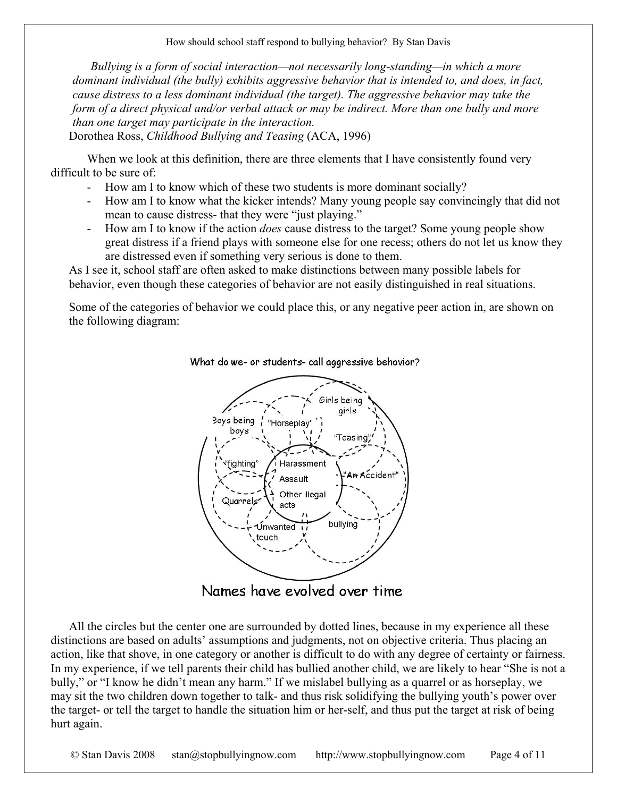*Bullying is a form of social interaction—not necessarily long-standing—in which a more dominant individual (the bully) exhibits aggressive behavior that is intended to, and does, in fact, cause distress to a less dominant individual (the target). The aggressive behavior may take the form of a direct physical and/or verbal attack or may be indirect. More than one bully and more than one target may participate in the interaction.*  Dorothea Ross, *Childhood Bullying and Teasing* (ACA, 1996)

When we look at this definition, there are three elements that I have consistently found very difficult to be sure of:

- How am I to know which of these two students is more dominant socially?
- How am I to know what the kicker intends? Many young people say convincingly that did not mean to cause distress- that they were "just playing."
- How am I to know if the action *does* cause distress to the target? Some young people show great distress if a friend plays with someone else for one recess; others do not let us know they are distressed even if something very serious is done to them.

As I see it, school staff are often asked to make distinctions between many possible labels for behavior, even though these categories of behavior are not easily distinguished in real situations.

Some of the categories of behavior we could place this, or any negative peer action in, are shown on the following diagram:



What do we- or students- call aggressive behavior?

Names have evolved over time

All the circles but the center one are surrounded by dotted lines, because in my experience all these distinctions are based on adults' assumptions and judgments, not on objective criteria. Thus placing an action, like that shove, in one category or another is difficult to do with any degree of certainty or fairness. In my experience, if we tell parents their child has bullied another child, we are likely to hear "She is not a bully," or "I know he didn't mean any harm." If we mislabel bullying as a quarrel or as horseplay, we may sit the two children down together to talk- and thus risk solidifying the bullying youth's power over the target- or tell the target to handle the situation him or her-self, and thus put the target at risk of being hurt again.

© Stan Davis 2008 stan@stopbullyingnow.com http://www.stopbullyingnow.com Page 4 of 11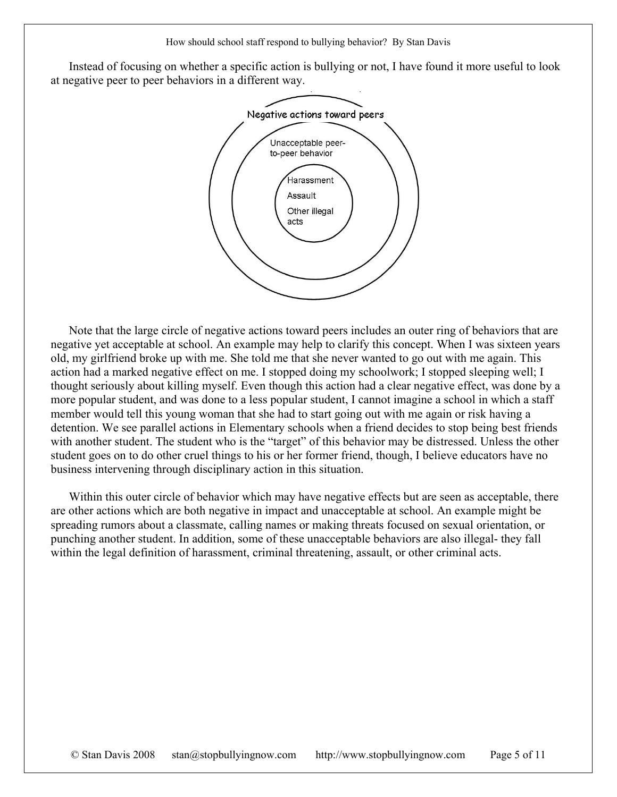Instead of focusing on whether a specific action is bullying or not, I have found it more useful to look at negative peer to peer behaviors in a different way.



Note that the large circle of negative actions toward peers includes an outer ring of behaviors that are negative yet acceptable at school. An example may help to clarify this concept. When I was sixteen years old, my girlfriend broke up with me. She told me that she never wanted to go out with me again. This action had a marked negative effect on me. I stopped doing my schoolwork; I stopped sleeping well; I thought seriously about killing myself. Even though this action had a clear negative effect, was done by a more popular student, and was done to a less popular student, I cannot imagine a school in which a staff member would tell this young woman that she had to start going out with me again or risk having a detention. We see parallel actions in Elementary schools when a friend decides to stop being best friends with another student. The student who is the "target" of this behavior may be distressed. Unless the other student goes on to do other cruel things to his or her former friend, though, I believe educators have no business intervening through disciplinary action in this situation.

Within this outer circle of behavior which may have negative effects but are seen as acceptable, there are other actions which are both negative in impact and unacceptable at school. An example might be spreading rumors about a classmate, calling names or making threats focused on sexual orientation, or punching another student. In addition, some of these unacceptable behaviors are also illegal- they fall within the legal definition of harassment, criminal threatening, assault, or other criminal acts.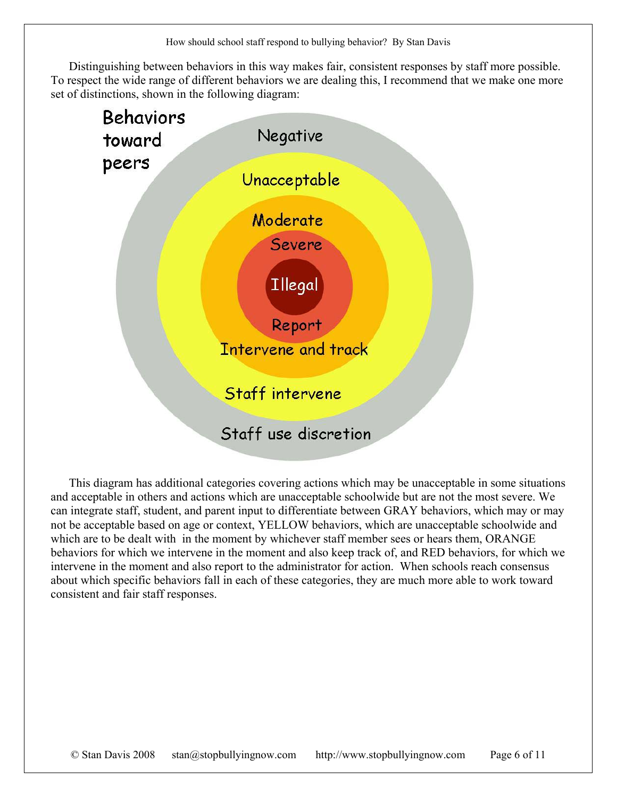Distinguishing between behaviors in this way makes fair, consistent responses by staff more possible. To respect the wide range of different behaviors we are dealing this, I recommend that we make one more set of distinctions, shown in the following diagram:



This diagram has additional categories covering actions which may be unacceptable in some situations and acceptable in others and actions which are unacceptable schoolwide but are not the most severe. We can integrate staff, student, and parent input to differentiate between GRAY behaviors, which may or may not be acceptable based on age or context, YELLOW behaviors, which are unacceptable schoolwide and which are to be dealt with in the moment by whichever staff member sees or hears them, ORANGE behaviors for which we intervene in the moment and also keep track of, and RED behaviors, for which we intervene in the moment and also report to the administrator for action. When schools reach consensus about which specific behaviors fall in each of these categories, they are much more able to work toward consistent and fair staff responses.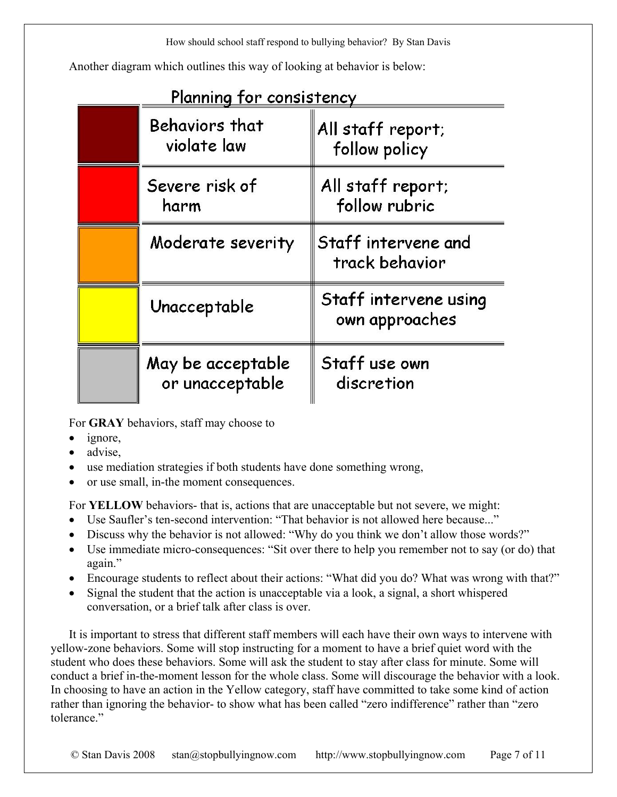Another diagram which outlines this way of looking at behavior is below:

| Behaviors that<br>violate law        | All staff report;<br>follow policy            |  |  |
|--------------------------------------|-----------------------------------------------|--|--|
| Severe risk of<br>harm               | All staff report;<br>follow rubric            |  |  |
| Moderate severity                    | $\sf I$ Staff intervene and<br>track behavior |  |  |
| Unacceptable                         | Staff intervene using<br>own approaches       |  |  |
| May be acceptable<br>or unacceptable | Staff use own<br>discretion                   |  |  |

### Planning for consistency

For **GRAY** behaviors, staff may choose to

- ignore,
- advise,
- use mediation strategies if both students have done something wrong,
- or use small, in-the moment consequences.

For **YELLOW** behaviors- that is, actions that are unacceptable but not severe, we might:

- Use Saufler's ten-second intervention: "That behavior is not allowed here because..."
- Discuss why the behavior is not allowed: "Why do you think we don't allow those words?"
- Use immediate micro-consequences: "Sit over there to help you remember not to say (or do) that again."
- Encourage students to reflect about their actions: "What did you do? What was wrong with that?"
- Signal the student that the action is unacceptable via a look, a signal, a short whispered conversation, or a brief talk after class is over.

It is important to stress that different staff members will each have their own ways to intervene with yellow-zone behaviors. Some will stop instructing for a moment to have a brief quiet word with the student who does these behaviors. Some will ask the student to stay after class for minute. Some will conduct a brief in-the-moment lesson for the whole class. Some will discourage the behavior with a look. In choosing to have an action in the Yellow category, staff have committed to take some kind of action rather than ignoring the behavior- to show what has been called "zero indifference" rather than "zero tolerance"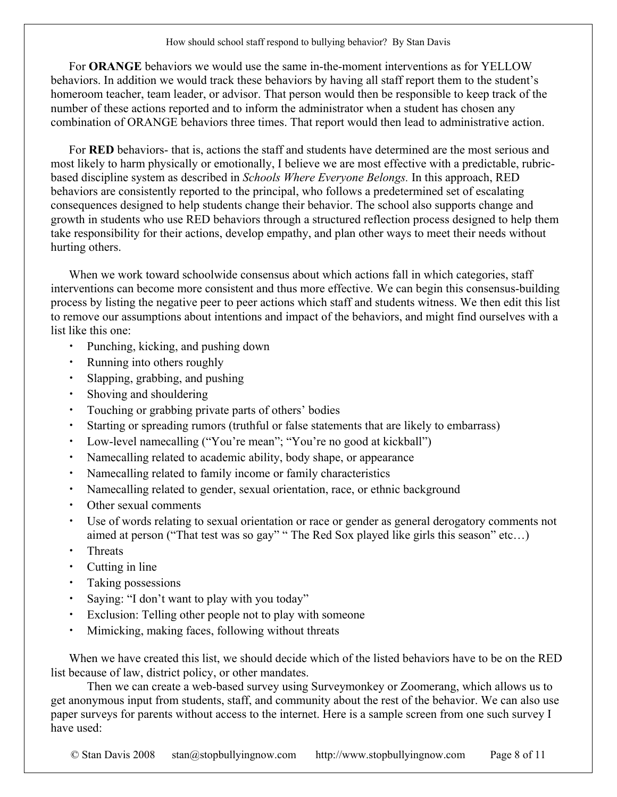For **ORANGE** behaviors we would use the same in-the-moment interventions as for YELLOW behaviors. In addition we would track these behaviors by having all staff report them to the student's homeroom teacher, team leader, or advisor. That person would then be responsible to keep track of the number of these actions reported and to inform the administrator when a student has chosen any combination of ORANGE behaviors three times. That report would then lead to administrative action.

For **RED** behaviors- that is, actions the staff and students have determined are the most serious and most likely to harm physically or emotionally, I believe we are most effective with a predictable, rubricbased discipline system as described in *Schools Where Everyone Belongs.* In this approach, RED behaviors are consistently reported to the principal, who follows a predetermined set of escalating consequences designed to help students change their behavior. The school also supports change and growth in students who use RED behaviors through a structured reflection process designed to help them take responsibility for their actions, develop empathy, and plan other ways to meet their needs without hurting others.

When we work toward schoolwide consensus about which actions fall in which categories, staff interventions can become more consistent and thus more effective. We can begin this consensus-building process by listing the negative peer to peer actions which staff and students witness. We then edit this list to remove our assumptions about intentions and impact of the behaviors, and might find ourselves with a list like this one:

- Punching, kicking, and pushing down
- Running into others roughly
- Slapping, grabbing, and pushing
- Shoving and shouldering
- Touching or grabbing private parts of others' bodies
- Starting or spreading rumors (truthful or false statements that are likely to embarrass)
- Low-level namecalling ("You're mean"; "You're no good at kickball")
- Namecalling related to academic ability, body shape, or appearance
- Namecalling related to family income or family characteristics
- Namecalling related to gender, sexual orientation, race, or ethnic background
- Other sexual comments
- Use of words relating to sexual orientation or race or gender as general derogatory comments not aimed at person ("That test was so gay" " The Red Sox played like girls this season" etc…)
- Threats
- Cutting in line
- Taking possessions
- Saying: "I don't want to play with you today"
- Exclusion: Telling other people not to play with someone
- Mimicking, making faces, following without threats

When we have created this list, we should decide which of the listed behaviors have to be on the RED list because of law, district policy, or other mandates.

Then we can create a web-based survey using Surveymonkey or Zoomerang, which allows us to get anonymous input from students, staff, and community about the rest of the behavior. We can also use paper surveys for parents without access to the internet. Here is a sample screen from one such survey I have used: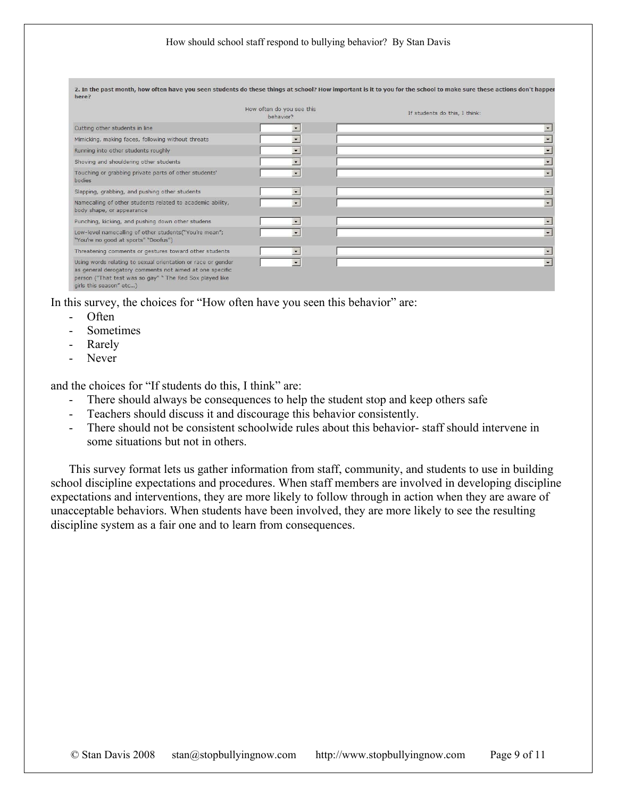| here?                                                                                                                                                                                                           |                                        |                               |
|-----------------------------------------------------------------------------------------------------------------------------------------------------------------------------------------------------------------|----------------------------------------|-------------------------------|
|                                                                                                                                                                                                                 | How often do you see this<br>behavior? | If students do this, I think: |
| Cutting other students in line                                                                                                                                                                                  | $\cdot$                                |                               |
| Mimicking, making faces, following without threats                                                                                                                                                              | $\cdot$                                |                               |
| Running into other students roughly                                                                                                                                                                             | $\cdot$                                |                               |
| Shoving and shouldering other students                                                                                                                                                                          | $\cdot$                                | $\cdot$                       |
| Touching or grabbing private parts of other students'<br>bodies                                                                                                                                                 | $\overline{\phantom{0}}$               | $\blacktriangledown$          |
| Slapping, grabbing, and pushing other students                                                                                                                                                                  |                                        |                               |
| Namecalling of other students related to academic ability,<br>body shape, or appearance                                                                                                                         |                                        | $\ddot{\phantom{1}}$          |
| Punching, kicking, and pushing down other studens                                                                                                                                                               |                                        |                               |
| Low-level namecalling of other students("You're mean";<br>"You're no good at sports" "Doofus")                                                                                                                  | $\cdot$                                | $\cdot$                       |
| Threatening comments or gestures toward other students                                                                                                                                                          |                                        |                               |
| Using words relating to sexual orientation or race or gender<br>as general derogatory comments not aimed at one specific<br>person ("That test was so gay" " The Red Sox played like<br>girls this season" etc) |                                        | $\overline{\phantom{a}}$      |

In this survey, the choices for "How often have you seen this behavior" are:

- Often
- **Sometimes**
- Rarely
- Never

and the choices for "If students do this, I think" are:

- There should always be consequences to help the student stop and keep others safe
- Teachers should discuss it and discourage this behavior consistently.
- There should not be consistent schoolwide rules about this behavior- staff should intervene in some situations but not in others.

This survey format lets us gather information from staff, community, and students to use in building school discipline expectations and procedures. When staff members are involved in developing discipline expectations and interventions, they are more likely to follow through in action when they are aware of unacceptable behaviors. When students have been involved, they are more likely to see the resulting discipline system as a fair one and to learn from consequences.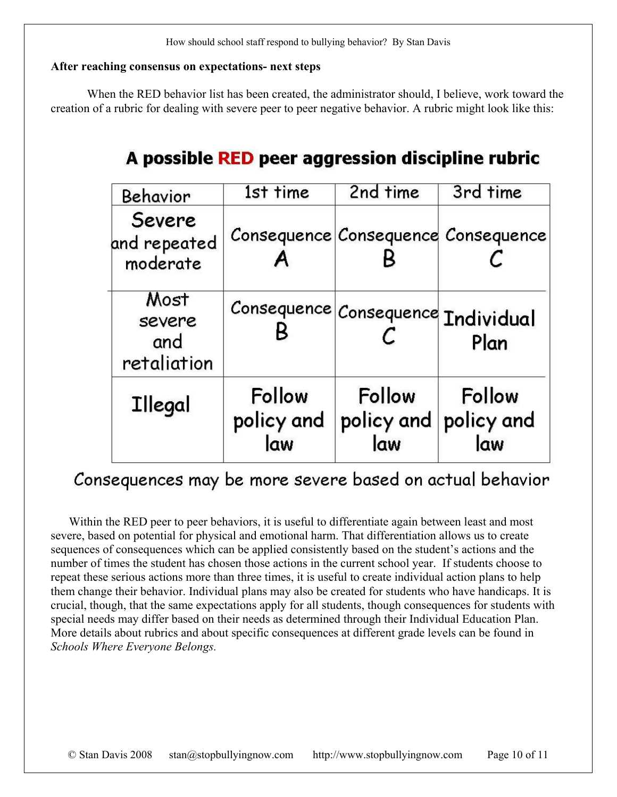#### **After reaching consensus on expectations- next steps**

When the RED behavior list has been created, the administrator should, I believe, work toward the creation of a rubric for dealing with severe peer to peer negative behavior. A rubric might look like this:

# A possible RED peer aggression discipline rubric

| Behavior                             | 1st time                           | 2nd time             | 3rd time                            |
|--------------------------------------|------------------------------------|----------------------|-------------------------------------|
| Severe<br>and repeated<br>moderate   |                                    |                      | Consequence Consequence Consequence |
| Most<br>severe<br>and<br>retaliation | Consequence Consequence Individual |                      | Plan                                |
| Illegal                              | Follow<br>policy and               | Follow<br>policy and | Follow<br>policy and<br>law         |

### Consequences may be more severe based on actual behavior

Within the RED peer to peer behaviors, it is useful to differentiate again between least and most severe, based on potential for physical and emotional harm. That differentiation allows us to create sequences of consequences which can be applied consistently based on the student's actions and the number of times the student has chosen those actions in the current school year. If students choose to repeat these serious actions more than three times, it is useful to create individual action plans to help them change their behavior. Individual plans may also be created for students who have handicaps. It is crucial, though, that the same expectations apply for all students, though consequences for students with special needs may differ based on their needs as determined through their Individual Education Plan. More details about rubrics and about specific consequences at different grade levels can be found in *Schools Where Everyone Belongs.*